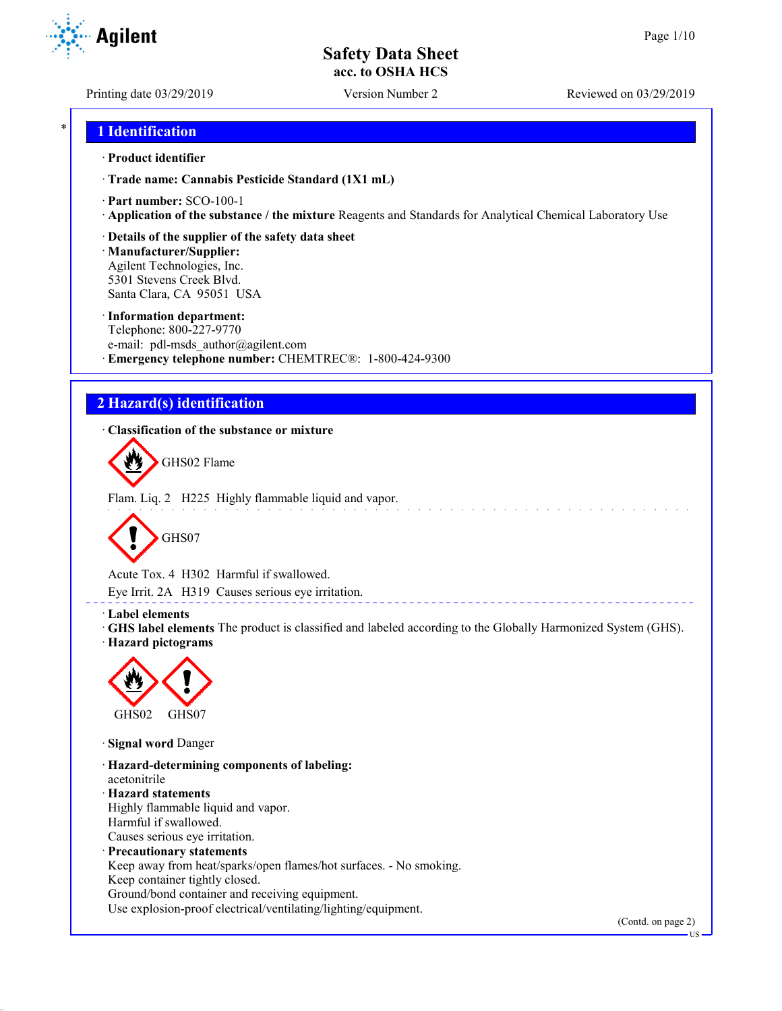**Agilent** 

Printing date 03/29/2019 Version Number 2 Reviewed on 03/29/2019

## \* **1 Identification**

#### · **Product identifier**

· **Trade name: Cannabis Pesticide Standard (1X1 mL)**

- · **Part number:** SCO-100-1
- · **Application of the substance / the mixture** Reagents and Standards for Analytical Chemical Laboratory Use

#### · **Details of the supplier of the safety data sheet**

· **Manufacturer/Supplier:** Agilent Technologies, Inc. 5301 Stevens Creek Blvd. Santa Clara, CA 95051 USA

#### · **Information department:**

Telephone: 800-227-9770 e-mail: pdl-msds author@agilent.com · **Emergency telephone number:** CHEMTREC®: 1-800-424-9300

## **2 Hazard(s) identification**

· **Classification of the substance or mixture**



Flam. Liq. 2 H225 Highly flammable liquid and vapor.



Acute Tox. 4 H302 Harmful if swallowed.

Eye Irrit. 2A H319 Causes serious eye irritation.

#### · **Label elements**

· **GHS label elements** The product is classified and labeled according to the Globally Harmonized System (GHS). · **Hazard pictograms**



· **Signal word** Danger

· **Hazard-determining components of labeling:** acetonitrile · **Hazard statements** Highly flammable liquid and vapor. Harmful if swallowed. Causes serious eye irritation. · **Precautionary statements** Keep away from heat/sparks/open flames/hot surfaces. - No smoking. Keep container tightly closed. Ground/bond container and receiving equipment.

Use explosion-proof electrical/ventilating/lighting/equipment.

(Contd. on page 2)

US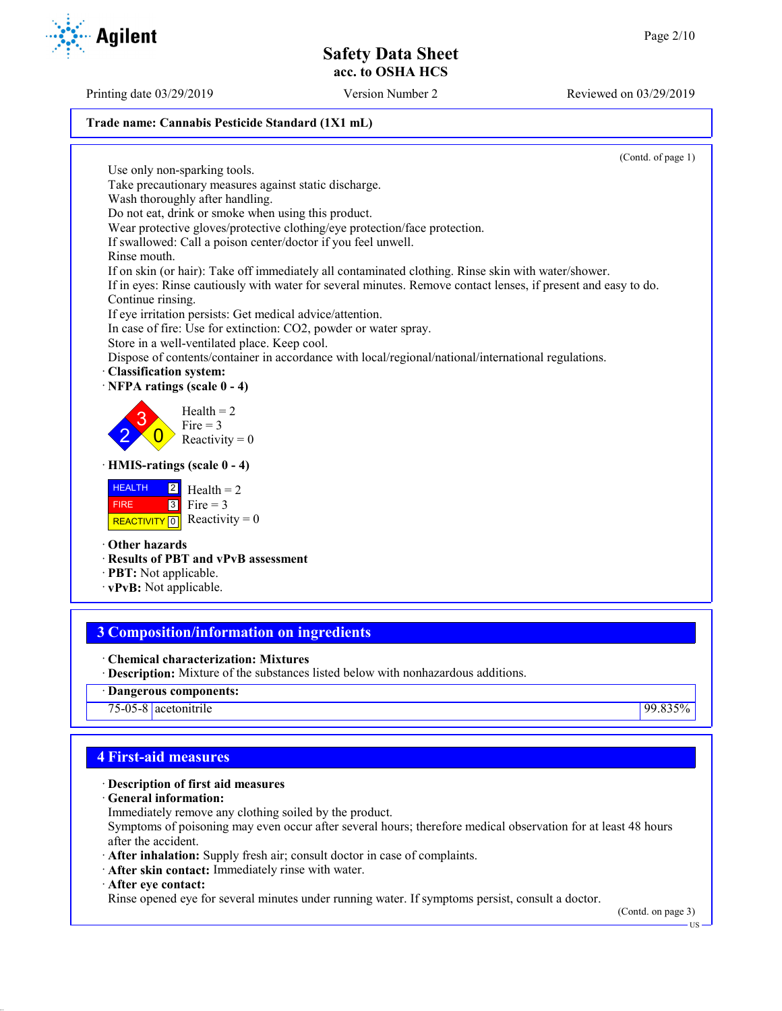Printing date 03/29/2019 Version Number 2 Reviewed on 03/29/2019

#### **Trade name: Cannabis Pesticide Standard (1X1 mL)**

(Contd. of page 1)

Use only non-sparking tools. Take precautionary measures against static discharge. Wash thoroughly after handling. Do not eat, drink or smoke when using this product. Wear protective gloves/protective clothing/eye protection/face protection. If swallowed: Call a poison center/doctor if you feel unwell. Rinse mouth. If on skin (or hair): Take off immediately all contaminated clothing. Rinse skin with water/shower. If in eyes: Rinse cautiously with water for several minutes. Remove contact lenses, if present and easy to do. Continue rinsing. If eye irritation persists: Get medical advice/attention. In case of fire: Use for extinction: CO2, powder or water spray. Store in a well-ventilated place. Keep cool. Dispose of contents/container in accordance with local/regional/national/international regulations. · **Classification system:** · **NFPA ratings (scale 0 - 4)** 2 3  $\overline{0}$  $Health = 2$ Fire  $= 3$ Reactivity  $= 0$ · **HMIS-ratings (scale 0 - 4) HEALTH**  FIRE REACTIVITY  $\boxed{0}$  Reactivity = 0 2 3  $Health = 2$ Fire  $= 3$ · **Other hazards** · **Results of PBT and vPvB assessment**

## **3 Composition/information on ingredients**

- · **Chemical characterization: Mixtures**
- · **Description:** Mixture of the substances listed below with nonhazardous additions.
- · **Dangerous components:**

75-05-8 acetonitrile 99.835%

## **4 First-aid measures**

#### · **Description of first aid measures**

- · **General information:**
- Immediately remove any clothing soiled by the product.

Symptoms of poisoning may even occur after several hours; therefore medical observation for at least 48 hours after the accident.

- · **After inhalation:** Supply fresh air; consult doctor in case of complaints.
- · **After skin contact:** Immediately rinse with water.
- · **After eye contact:**

Rinse opened eye for several minutes under running water. If symptoms persist, consult a doctor.

(Contd. on page 3)

US

- · **PBT:** Not applicable.
- · **vPvB:** Not applicable.

**Agilent**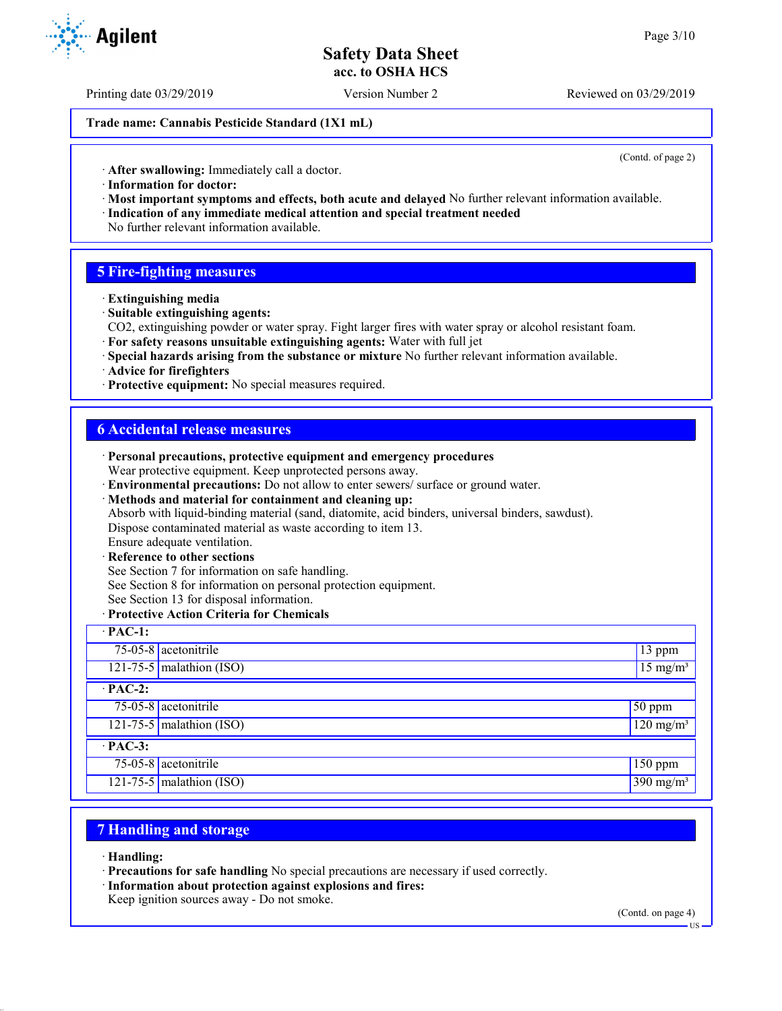Printing date 03/29/2019 Version Number 2 Reviewed on 03/29/2019

**Trade name: Cannabis Pesticide Standard (1X1 mL)**

(Contd. of page 2)

· **After swallowing:** Immediately call a doctor.

- · **Information for doctor:**
- · **Most important symptoms and effects, both acute and delayed** No further relevant information available. · **Indication of any immediate medical attention and special treatment needed**
- No further relevant information available.

## **5 Fire-fighting measures**

- · **Extinguishing media**
- · **Suitable extinguishing agents:**
- CO2, extinguishing powder or water spray. Fight larger fires with water spray or alcohol resistant foam.
- · **For safety reasons unsuitable extinguishing agents:** Water with full jet
- · **Special hazards arising from the substance or mixture** No further relevant information available.
- · **Advice for firefighters**
- · **Protective equipment:** No special measures required.

## **6 Accidental release measures**

|                                            | · Personal precautions, protective equipment and emergency procedures<br>Wear protective equipment. Keep unprotected persons away.<br>· Environmental precautions: Do not allow to enter sewers/ surface or ground water.<br>· Methods and material for containment and cleaning up:<br>Absorb with liquid-binding material (sand, diatomite, acid binders, universal binders, sawdust).<br>Dispose contaminated material as waste according to item 13.<br>Ensure adequate ventilation.<br>· Reference to other sections<br>See Section 7 for information on safe handling. |                       |  |  |
|--------------------------------------------|------------------------------------------------------------------------------------------------------------------------------------------------------------------------------------------------------------------------------------------------------------------------------------------------------------------------------------------------------------------------------------------------------------------------------------------------------------------------------------------------------------------------------------------------------------------------------|-----------------------|--|--|
|                                            | See Section 8 for information on personal protection equipment.                                                                                                                                                                                                                                                                                                                                                                                                                                                                                                              |                       |  |  |
|                                            | See Section 13 for disposal information.                                                                                                                                                                                                                                                                                                                                                                                                                                                                                                                                     |                       |  |  |
| · Protective Action Criteria for Chemicals |                                                                                                                                                                                                                                                                                                                                                                                                                                                                                                                                                                              |                       |  |  |
| $\cdot$ PAC-1:                             |                                                                                                                                                                                                                                                                                                                                                                                                                                                                                                                                                                              |                       |  |  |
|                                            | $75-05-8$ acetonitrile                                                                                                                                                                                                                                                                                                                                                                                                                                                                                                                                                       | 13 ppm                |  |  |
|                                            | 121-75-5 malathion (ISO)                                                                                                                                                                                                                                                                                                                                                                                                                                                                                                                                                     | $15 \text{ mg/m}^3$   |  |  |
| $\cdot$ PAC-2:                             |                                                                                                                                                                                                                                                                                                                                                                                                                                                                                                                                                                              |                       |  |  |
|                                            | $75-05-8$ acetonitrile                                                                                                                                                                                                                                                                                                                                                                                                                                                                                                                                                       | 50 ppm                |  |  |
|                                            | 121-75-5 malathion (ISO)                                                                                                                                                                                                                                                                                                                                                                                                                                                                                                                                                     | $120 \text{ mg/m}^3$  |  |  |
| $\cdot$ PAC-3:                             |                                                                                                                                                                                                                                                                                                                                                                                                                                                                                                                                                                              |                       |  |  |
|                                            | $75-05-8$ acetonitrile                                                                                                                                                                                                                                                                                                                                                                                                                                                                                                                                                       | $150$ ppm             |  |  |
|                                            | 121-75-5 malathion (ISO)                                                                                                                                                                                                                                                                                                                                                                                                                                                                                                                                                     | 390 mg/m <sup>3</sup> |  |  |

## **7 Handling and storage**

· **Handling:**

- · **Precautions for safe handling** No special precautions are necessary if used correctly.
- · **Information about protection against explosions and fires:**

Keep ignition sources away - Do not smoke.

(Contd. on page 4)



 $-11S$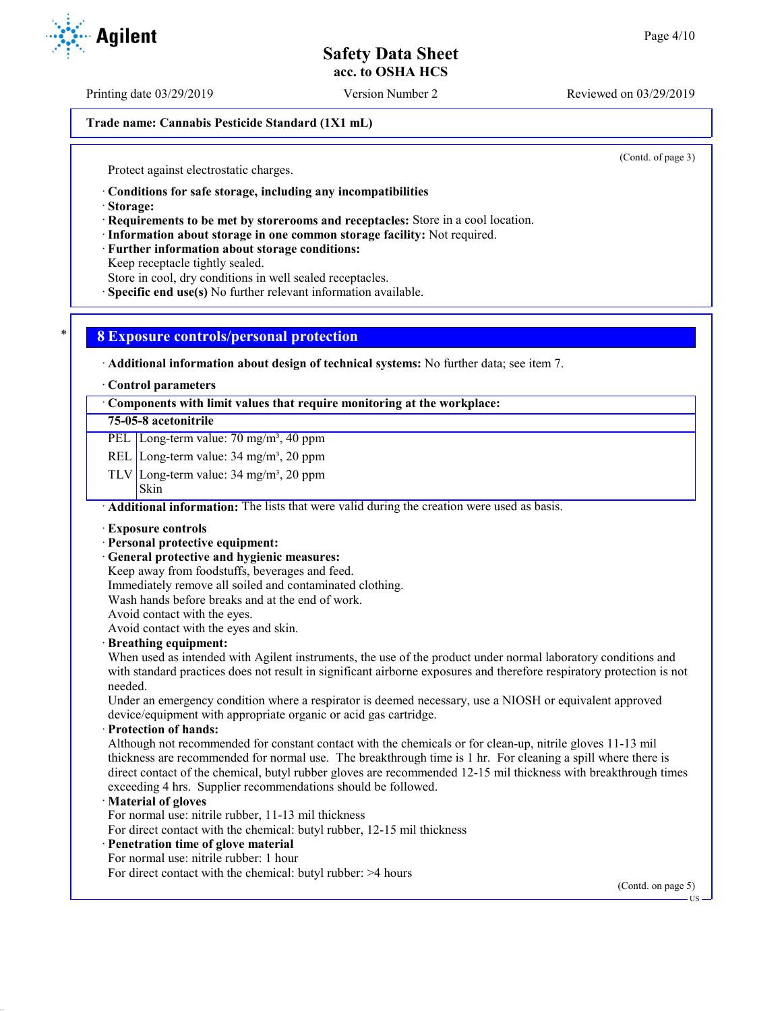Printing date 03/29/2019 Version Number 2 Reviewed on 03/29/2019

**Trade name: Cannabis Pesticide Standard (1X1 mL)**

(Contd. of page 3)

Protect against electrostatic charges.

· **Conditions for safe storage, including any incompatibilities**

· **Storage:**

· **Requirements to be met by storerooms and receptacles:** Store in a cool location.

· **Information about storage in one common storage facility:** Not required.

· **Further information about storage conditions:**

Keep receptacle tightly sealed.

Store in cool, dry conditions in well sealed receptacles.

· **Specific end use(s)** No further relevant information available.

## \* **8 Exposure controls/personal protection**

· **Additional information about design of technical systems:** No further data; see item 7.

· **Control parameters**

· **Components with limit values that require monitoring at the workplace:**

### **75-05-8 acetonitrile**

PEL Long-term value: 70 mg/m<sup>3</sup>, 40 ppm

REL Long-term value: 34 mg/m<sup>3</sup>, 20 ppm

TLV Long-term value:  $34 \text{ mg/m}^3$ ,  $20 \text{ ppm}$ 

Skin

· **Additional information:** The lists that were valid during the creation were used as basis.

· **Exposure controls**

#### · **Personal protective equipment:**

· **General protective and hygienic measures:**

Keep away from foodstuffs, beverages and feed.

Immediately remove all soiled and contaminated clothing.

Wash hands before breaks and at the end of work.

Avoid contact with the eyes.

Avoid contact with the eyes and skin.

#### · **Breathing equipment:**

When used as intended with Agilent instruments, the use of the product under normal laboratory conditions and with standard practices does not result in significant airborne exposures and therefore respiratory protection is not needed.

Under an emergency condition where a respirator is deemed necessary, use a NIOSH or equivalent approved device/equipment with appropriate organic or acid gas cartridge.

· **Protection of hands:**

Although not recommended for constant contact with the chemicals or for clean-up, nitrile gloves 11-13 mil thickness are recommended for normal use. The breakthrough time is 1 hr. For cleaning a spill where there is direct contact of the chemical, butyl rubber gloves are recommended 12-15 mil thickness with breakthrough times exceeding 4 hrs. Supplier recommendations should be followed.

#### · **Material of gloves**

For normal use: nitrile rubber, 11-13 mil thickness

For direct contact with the chemical: butyl rubber, 12-15 mil thickness

## · **Penetration time of glove material**

For normal use: nitrile rubber: 1 hour For direct contact with the chemical: butyl rubber: >4 hours

(Contd. on page 5)

US

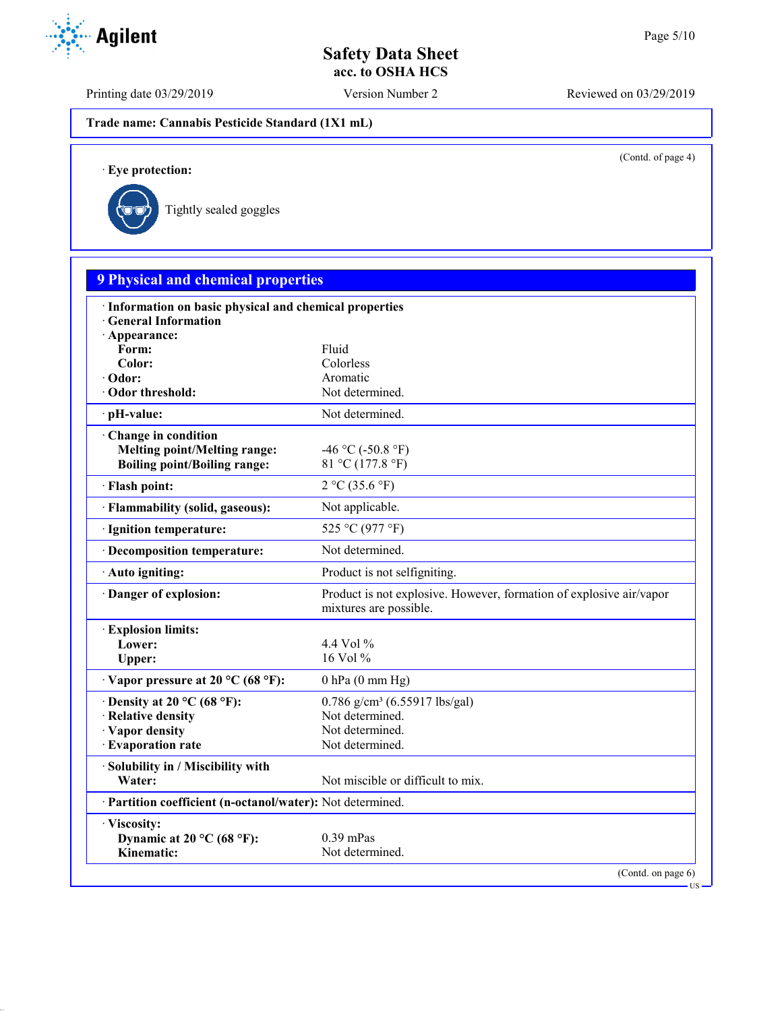Printing date 03/29/2019 Version Number 2 Reviewed on 03/29/2019

**Trade name: Cannabis Pesticide Standard (1X1 mL)**

(Contd. of page 4)

US

· **Eye protection:**



| <b>9 Physical and chemical properties</b>                                        |                                                                                               |
|----------------------------------------------------------------------------------|-----------------------------------------------------------------------------------------------|
| · Information on basic physical and chemical properties<br>· General Information |                                                                                               |
| · Appearance:                                                                    |                                                                                               |
| Form:                                                                            | Fluid                                                                                         |
| Color:                                                                           | Colorless                                                                                     |
| · Odor:                                                                          | Aromatic                                                                                      |
| · Odor threshold:                                                                | Not determined.                                                                               |
| pH-value:                                                                        | Not determined.                                                                               |
| Change in condition                                                              |                                                                                               |
| <b>Melting point/Melting range:</b>                                              | -46 °C (-50.8 °F)                                                                             |
| <b>Boiling point/Boiling range:</b>                                              | 81 °C (177.8 °F)                                                                              |
| · Flash point:                                                                   | 2 °C (35.6 °F)                                                                                |
| · Flammability (solid, gaseous):                                                 | Not applicable.                                                                               |
| · Ignition temperature:                                                          | 525 °C (977 °F)                                                                               |
| · Decomposition temperature:                                                     | Not determined.                                                                               |
| · Auto igniting:                                                                 | Product is not selfigniting.                                                                  |
| Danger of explosion:                                                             | Product is not explosive. However, formation of explosive air/vapor<br>mixtures are possible. |
| <b>Explosion limits:</b>                                                         |                                                                                               |
| Lower:                                                                           | 4.4 Vol $\%$                                                                                  |
| Upper:                                                                           | 16 Vol %                                                                                      |
| $\cdot$ Vapor pressure at 20 °C (68 °F):                                         | $0$ hPa $(0$ mm Hg)                                                                           |
| $\cdot$ Density at 20 °C (68 °F):                                                | $0.786$ g/cm <sup>3</sup> (6.55917 lbs/gal)                                                   |
| · Relative density                                                               | Not determined.                                                                               |
| · Vapor density                                                                  | Not determined.                                                                               |
| · Evaporation rate                                                               | Not determined.                                                                               |
| Solubility in / Miscibility with                                                 |                                                                                               |
| Water:                                                                           | Not miscible or difficult to mix.                                                             |
| · Partition coefficient (n-octanol/water): Not determined.                       |                                                                                               |
| · Viscosity:                                                                     |                                                                                               |
| Dynamic at 20 °C (68 °F):                                                        | $0.39$ mPas                                                                                   |
| Kinematic:                                                                       | Not determined.                                                                               |

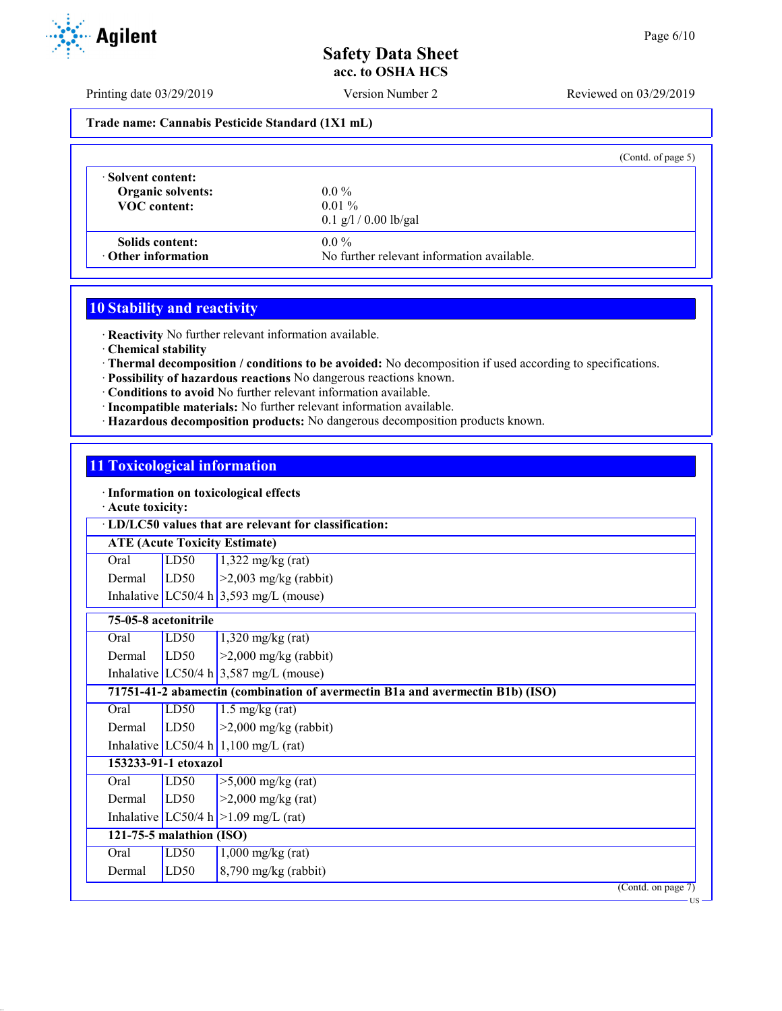Printing date 03/29/2019 Version Number 2 Reviewed on 03/29/2019

#### **Trade name: Cannabis Pesticide Standard (1X1 mL)**

|                           | (Contd. of page 5)                         |
|---------------------------|--------------------------------------------|
| · Solvent content:        | $0.0\%$                                    |
| <b>Organic solvents:</b>  | $0.01\%$                                   |
| <b>VOC</b> content:       | $0.1$ g/l / 0.00 lb/gal                    |
| Solids content:           | $0.0\%$                                    |
| $\cdot$ Other information | No further relevant information available. |

# **10 Stability and reactivity**

· **Reactivity** No further relevant information available.

- · **Chemical stability**
- · **Thermal decomposition / conditions to be avoided:** No decomposition if used according to specifications.
- · **Possibility of hazardous reactions** No dangerous reactions known.
- · **Conditions to avoid** No further relevant information available.
- · **Incompatible materials:** No further relevant information available.
- · **Hazardous decomposition products:** No dangerous decomposition products known.

## **11 Toxicological information**

· **Information on toxicological effects**

#### · **Acute toxicity:**

| · LD/LC50 values that are relevant for classification: |                                      |                                                                               |  |  |  |  |
|--------------------------------------------------------|--------------------------------------|-------------------------------------------------------------------------------|--|--|--|--|
|                                                        | <b>ATE (Acute Toxicity Estimate)</b> |                                                                               |  |  |  |  |
| Oral                                                   | LD50                                 | $1,322$ mg/kg (rat)                                                           |  |  |  |  |
| Dermal                                                 | LD50                                 | $>2,003$ mg/kg (rabbit)                                                       |  |  |  |  |
|                                                        |                                      | Inhalative LC50/4 h $3,593$ mg/L (mouse)                                      |  |  |  |  |
| 75-05-8 acetonitrile                                   |                                      |                                                                               |  |  |  |  |
| Oral                                                   | LD50                                 | $1,320$ mg/kg (rat)                                                           |  |  |  |  |
| Dermal                                                 | LD50                                 | $>2,000$ mg/kg (rabbit)                                                       |  |  |  |  |
|                                                        |                                      | Inhalative LC50/4 h $3,587$ mg/L (mouse)                                      |  |  |  |  |
|                                                        |                                      | 71751-41-2 abamectin (combination of avermectin B1a and avermectin B1b) (ISO) |  |  |  |  |
| Oral                                                   | LD50                                 | $1.5 \text{ mg/kg}$ (rat)                                                     |  |  |  |  |
| Dermal                                                 | LD50                                 | $>2,000$ mg/kg (rabbit)                                                       |  |  |  |  |
|                                                        |                                      | Inhalative LC50/4 h 1,100 mg/L (rat)                                          |  |  |  |  |
|                                                        | 153233-91-1 etoxazol                 |                                                                               |  |  |  |  |
| Oral                                                   | LD50                                 | $>5,000$ mg/kg (rat)                                                          |  |  |  |  |
| Dermal                                                 | LD50                                 | $>2,000$ mg/kg (rat)                                                          |  |  |  |  |
|                                                        |                                      | Inhalative LC50/4 h $>1.09$ mg/L (rat)                                        |  |  |  |  |
|                                                        | 121-75-5 malathion (ISO)             |                                                                               |  |  |  |  |
| Oral                                                   | LD50                                 | $1,000$ mg/kg (rat)                                                           |  |  |  |  |
| Dermal                                                 | LD50                                 | $8,790$ mg/kg (rabbit)                                                        |  |  |  |  |
|                                                        |                                      | (Contd. on page 7)                                                            |  |  |  |  |
|                                                        |                                      | - US -                                                                        |  |  |  |  |

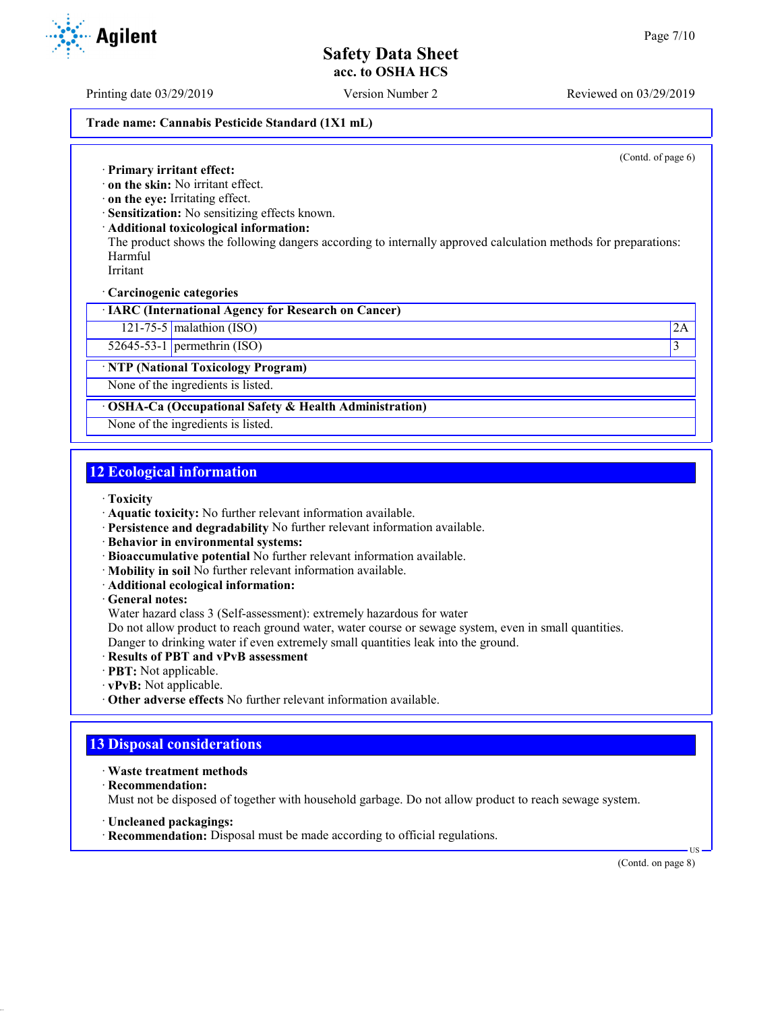Printing date 03/29/2019 Version Number 2 Reviewed on 03/29/2019

#### **Trade name: Cannabis Pesticide Standard (1X1 mL)**

(Contd. of page 6)

· **Primary irritant effect:**

- · **on the skin:** No irritant effect.
- · **on the eye:** Irritating effect.
- · **Sensitization:** No sensitizing effects known.
- · **Additional toxicological information:**
- The product shows the following dangers according to internally approved calculation methods for preparations: Harmful

Irritant

· **Carcinogenic categories**

· **IARC (International Agency for Research on Cancer)**

121-75-5 malathion (ISO) 2A

 $52645-53-1$  permethrin (ISO) 3

· **NTP (National Toxicology Program)**

None of the ingredients is listed.

· **OSHA-Ca (Occupational Safety & Health Administration)**

None of the ingredients is listed.

## **12 Ecological information**

· **Toxicity**

- · **Aquatic toxicity:** No further relevant information available.
- · **Persistence and degradability** No further relevant information available.
- · **Behavior in environmental systems:**
- · **Bioaccumulative potential** No further relevant information available.
- · **Mobility in soil** No further relevant information available.
- · **Additional ecological information:**

· **General notes:**

Water hazard class 3 (Self-assessment): extremely hazardous for water

Do not allow product to reach ground water, water course or sewage system, even in small quantities.

Danger to drinking water if even extremely small quantities leak into the ground.

- · **Results of PBT and vPvB assessment**
- · **PBT:** Not applicable.
- · **vPvB:** Not applicable.
- · **Other adverse effects** No further relevant information available.

## **13 Disposal considerations**

- · **Waste treatment methods**
- · **Recommendation:**

Must not be disposed of together with household garbage. Do not allow product to reach sewage system.

· **Uncleaned packagings:**

· **Recommendation:** Disposal must be made according to official regulations.

(Contd. on page 8)

US

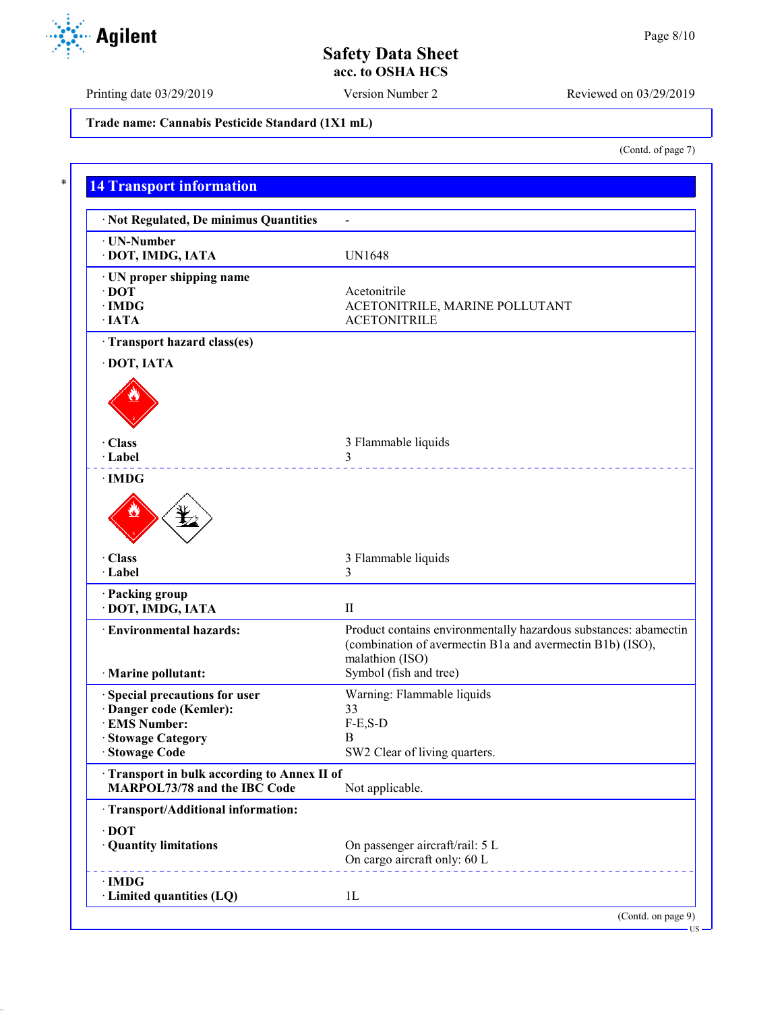US

# **Safety Data Sheet acc. to OSHA HCS**

Printing date 03/29/2019 Version Number 2 Reviewed on 03/29/2019

**Trade name: Cannabis Pesticide Standard (1X1 mL)**

| <b>14 Transport information</b>                           |                                                                                                                                                  |
|-----------------------------------------------------------|--------------------------------------------------------------------------------------------------------------------------------------------------|
| · Not Regulated, De minimus Quantities                    | $\overline{a}$                                                                                                                                   |
| · UN-Number<br>· DOT, IMDG, IATA                          | <b>UN1648</b>                                                                                                                                    |
| · UN proper shipping name<br>$\cdot$ DOT                  | Acetonitrile                                                                                                                                     |
| $\cdot$ IMDG<br>$\cdot$ IATA                              | ACETONITRILE, MARINE POLLUTANT<br><b>ACETONITRILE</b>                                                                                            |
| · Transport hazard class(es)                              |                                                                                                                                                  |
| · DOT, IATA                                               |                                                                                                                                                  |
|                                                           |                                                                                                                                                  |
| · Class<br>· Label                                        | 3 Flammable liquids<br>3                                                                                                                         |
| $\cdot$ IMDG                                              | _ _ _ _ _ _ _ _ _ _ _ _ _ _ _ _                                                                                                                  |
| · Class<br>· Label                                        | 3 Flammable liquids<br>3                                                                                                                         |
| · Packing group<br>· DOT, IMDG, IATA                      | $\mathbf{I}$                                                                                                                                     |
| · Environmental hazards:                                  | Product contains environmentally hazardous substances: abamectin<br>(combination of avermectin B1a and avermectin B1b) (ISO),<br>malathion (ISO) |
| · Marine pollutant:                                       | Symbol (fish and tree)                                                                                                                           |
| · Special precautions for user<br>· Danger code (Kemler): | Warning: Flammable liquids<br>33                                                                                                                 |
| · EMS Number:                                             | $F-E, S-D$                                                                                                                                       |
| · Stowage Category                                        | B                                                                                                                                                |
| · Stowage Code                                            | SW2 Clear of living quarters.                                                                                                                    |
| Transport in bulk according to Annex II of                |                                                                                                                                                  |
| MARPOL73/78 and the IBC Code                              | Not applicable.                                                                                                                                  |
| · Transport/Additional information:                       |                                                                                                                                                  |
| $\cdot$ DOT<br>· Quantity limitations                     | On passenger aircraft/rail: 5 L<br>On cargo aircraft only: 60 L                                                                                  |

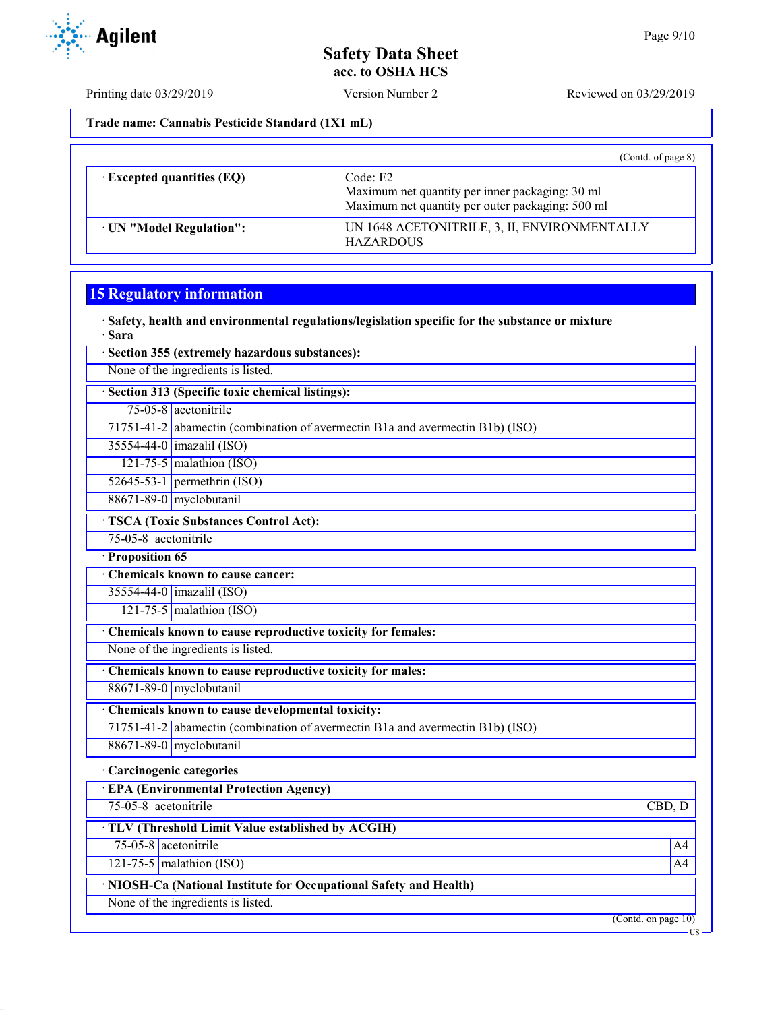Printing date 03/29/2019 Version Number 2 Reviewed on 03/29/2019

**Trade name: Cannabis Pesticide Standard (1X1 mL)**

|                                  | (Contd. of page $8$ )                                                                                           |
|----------------------------------|-----------------------------------------------------------------------------------------------------------------|
| $\cdot$ Excepted quantities (EQ) | Code: E2<br>Maximum net quantity per inner packaging: 30 ml<br>Maximum net quantity per outer packaging: 500 ml |
| UN "Model Regulation":           | UN 1648 ACETONITRILE, 3, II, ENVIRONMENTALLY<br><b>HAZARDOUS</b>                                                |

## **15 Regulatory information**

· **Safety, health and environmental regulations/legislation specific for the substance or mixture** · **Sara**

|                      | Section 355 (extremely hazardous substances):                                 |                |
|----------------------|-------------------------------------------------------------------------------|----------------|
|                      | None of the ingredients is listed.                                            |                |
|                      | · Section 313 (Specific toxic chemical listings):                             |                |
|                      | 75-05-8 acetonitrile                                                          |                |
|                      | 71751-41-2 abamectin (combination of avermectin B1a and avermectin B1b) (ISO) |                |
|                      | 35554-44-0   imazalil (ISO)                                                   |                |
|                      | 121-75-5 malathion $(ISO)$                                                    |                |
|                      | $52645-53-1$ permethrin (ISO)                                                 |                |
|                      | 88671-89-0 myclobutanil                                                       |                |
|                      | <b>TSCA (Toxic Substances Control Act):</b>                                   |                |
| 75-05-8 acetonitrile |                                                                               |                |
| Proposition 65       |                                                                               |                |
|                      | Chemicals known to cause cancer:                                              |                |
|                      | 35554-44-0   imazalil (ISO)                                                   |                |
|                      | $121-75-5$ malathion (ISO)                                                    |                |
|                      | Chemicals known to cause reproductive toxicity for females:                   |                |
|                      | None of the ingredients is listed.                                            |                |
|                      | Chemicals known to cause reproductive toxicity for males:                     |                |
|                      | 88671-89-0 myclobutanil                                                       |                |
|                      | Chemicals known to cause developmental toxicity:                              |                |
|                      | 71751-41-2 abamectin (combination of avermectin B1a and avermectin B1b) (ISO) |                |
|                      | 88671-89-0 myclobutanil                                                       |                |
|                      | · Carcinogenic categories                                                     |                |
|                      | <b>EPA (Environmental Protection Agency)</b>                                  |                |
| 75-05-8 acetonitrile |                                                                               | CBD, D         |
|                      | · TLV (Threshold Limit Value established by ACGIH)                            |                |
| 75-05-8 acetonitrile |                                                                               | A4             |
|                      | $121 - 75 - 5$ malathion (ISO)                                                | A <sub>4</sub> |
|                      | · NIOSH-Ca (National Institute for Occupational Safety and Health)            |                |
|                      | None of the ingredients is listed.                                            |                |
|                      | $(C_{\text{out}}4_{\text{out}}$ $_{\text{max}}10$                             |                |